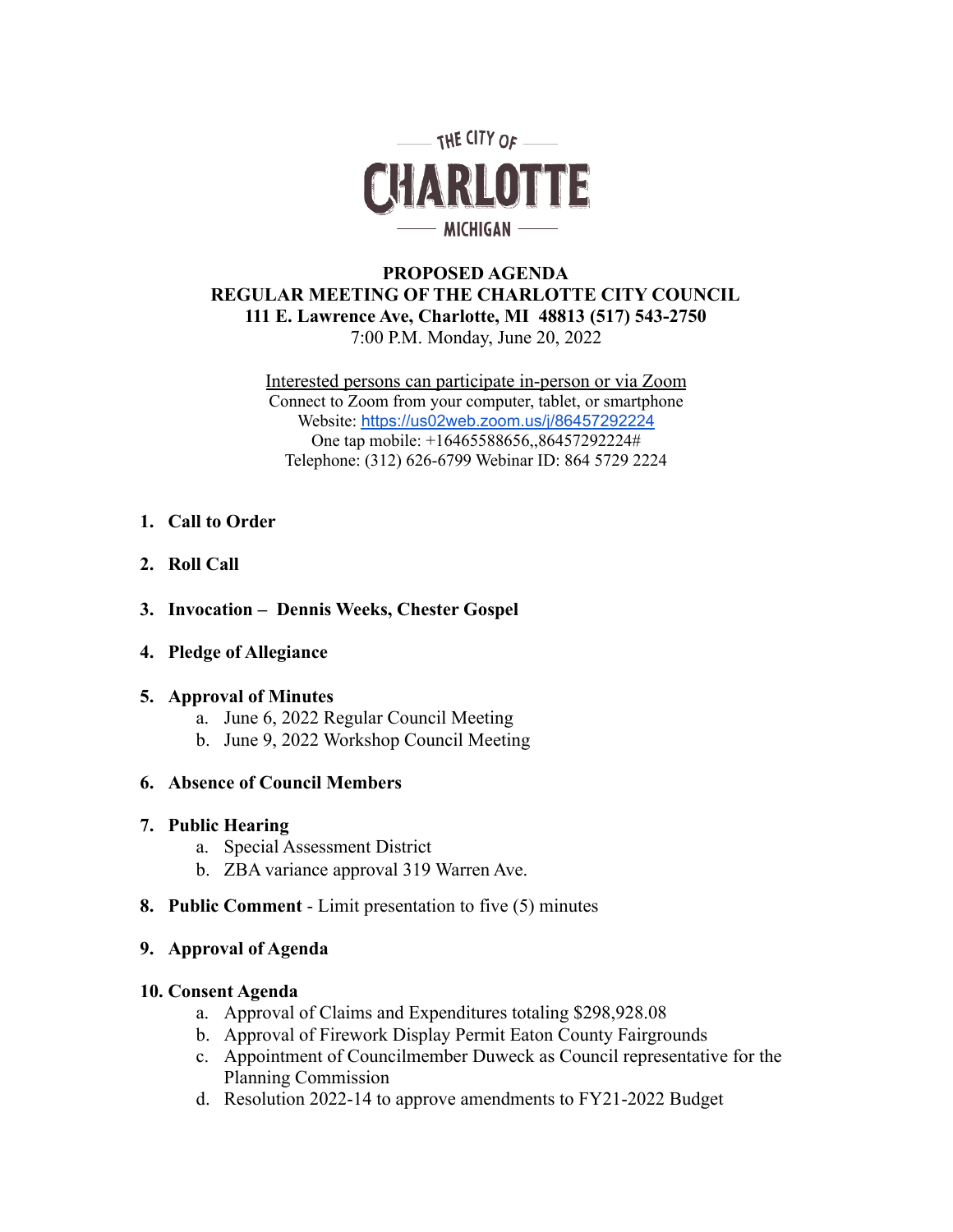

# **PROPOSED AGENDA REGULAR MEETING OF THE CHARLOTTE CITY COUNCIL 111 E. Lawrence Ave, Charlotte, MI 48813 (517) 543-2750** 7:00 P.M. Monday, June 20, 2022

Interested persons can participate in-person or via Zoom Connect to Zoom from your computer, tablet, or smartphone Website: [https://us02web.zoom.us/j/86457292224](https://us02web.zoom.us/j/87420549820) One tap mobile: +16465588656,,86457292224# Telephone: (312) 626-6799 Webinar ID: 864 5729 2224

# **1. Call to Order**

- **2. Roll Call**
- **3. Invocation Dennis Weeks, Chester Gospel**
- **4. Pledge of Allegiance**

#### **5. Approval of Minutes**

- a. June 6, 2022 Regular Council Meeting
- b. June 9, 2022 Workshop Council Meeting

# **6. Absence of Council Members**

#### **7. Public Hearing**

- a. Special Assessment District
- b. ZBA variance approval 319 Warren Ave.
- **8. Public Comment** Limit presentation to five (5) minutes

#### **9. Approval of Agenda**

#### **10. Consent Agenda**

- a. Approval of Claims and Expenditures totaling \$298,928.08
- b. Approval of Firework Display Permit Eaton County Fairgrounds
- c. Appointment of Councilmember Duweck as Council representative for the Planning Commission
- d. Resolution 2022-14 to approve amendments to FY21-2022 Budget